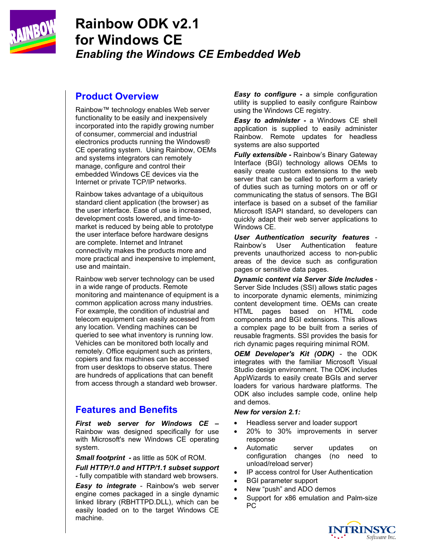

# **Rainbow ODK v2.1 for Windows CE**  *Enabling the Windows CE Embedded Web*

# **Product Overview**

Rainbow™ technology enables Web server functionality to be easily and inexpensively incorporated into the rapidly growing number of consumer, commercial and industrial electronics products running the Windows® CE operating system. Using Rainbow, OEMs and systems integrators can remotely manage, configure and control their embedded Windows CE devices via the Internet or private TCP/IP networks.

Rainbow takes advantage of a ubiquitous standard client application (the browser) as the user interface. Ease of use is increased, development costs lowered, and time-tomarket is reduced by being able to prototype the user interface before hardware designs are complete. Internet and Intranet connectivity makes the products more and more practical and inexpensive to implement, use and maintain.

Rainbow web server technology can be used in a wide range of products. Remote monitoring and maintenance of equipment is a common application across many industries. For example, the condition of industrial and telecom equipment can easily accessed from any location. Vending machines can be queried to see what inventory is running low. Vehicles can be monitored both locally and remotely. Office equipment such as printers, copiers and fax machines can be accessed from user desktops to observe status. There are hundreds of applications that can benefit from access through a standard web browser.

# **Features and Benefits**

*First web server for Windows CE –*  Rainbow was designed specifically for use with Microsoft's new Windows CE operating system.

*Small footprint -* as little as 50K of ROM.

*Full HTTP/1.0 and HTTP/1.1 subset support* 

- fully compatible with standard web browsers.

*Easy to integrate* - Rainbow's web server engine comes packaged in a single dynamic linked library (RBHTTPD.DLL), which can be easily loaded on to the target Windows CE machine.

*Easy to configure - a simple configuration* utility is supplied to easily configure Rainbow using the Windows CE registry.

*Easy to administer -* a Windows CE shell application is supplied to easily administer Rainbow. Remote updates for headless systems are also supported

*Fully extensible -* Rainbow's Binary Gateway Interface (BGI) technology allows OEMs to easily create custom extensions to the web server that can be called to perform a variety of duties such as turning motors on or off or communicating the status of sensors. The BGI interface is based on a subset of the familiar Microsoft ISAPI standard, so developers can quickly adapt their web server applications to Windows CE.

*User Authentication security features* - Rainbow's User Authentication feature prevents unauthorized access to non-public areas of the device such as configuration pages or sensitive data pages.

*Dynamic content via Server Side Includes* - Server Side Includes (SSI) allows static pages to incorporate dynamic elements, minimizing content development time. OEMs can create HTML pages based on HTML code components and BGI extensions. This allows a complex page to be built from a series of reusable fragments. SSI provides the basis for rich dynamic pages requiring minimal ROM.

*OEM Developer's Kit (ODK)* - the ODK integrates with the familiar Microsoft Visual Studio design environment. The ODK includes AppWizards to easily create BGIs and server loaders for various hardware platforms. The ODK also includes sample code, online help and demos.

#### *New for version 2.1:*

- Headless server and loader support
- 20% to 30% improvements in server response
- Automatic server updates on configuration changes (no need to unload/reload server)
- IP access control for User Authentication
- BGI parameter support
- New "push" and ADO demos
- Support for x86 emulation and Palm-size PC